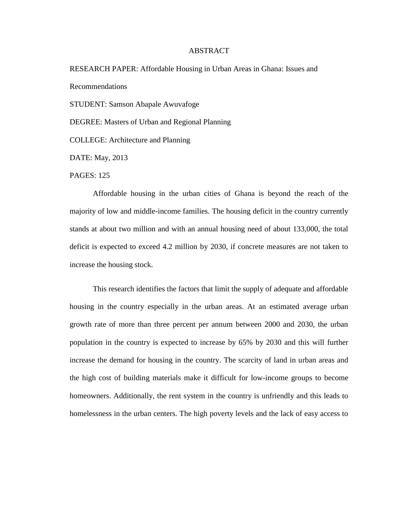## ABSTRACT

RESEARCH PAPER: Affordable Housing in Urban Areas in Ghana: Issues and Recommendations

STUDENT: Samson Abapale Awuvafoge

DEGREE: Masters of Urban and Regional Planning

COLLEGE: Architecture and Planning

DATE: May, 2013

PAGES: 125

Affordable housing in the urban cities of Ghana is beyond the reach of the majority of low and middle-income families. The housing deficit in the country currently stands at about two million and with an annual housing need of about 133,000, the total deficit is expected to exceed 4.2 million by 2030, if concrete measures are not taken to increase the housing stock.

This research identifies the factors that limit the supply of adequate and affordable housing in the country especially in the urban areas. At an estimated average urban growth rate of more than three percent per annum between 2000 and 2030, the urban population in the country is expected to increase by 65% by 2030 and this will further increase the demand for housing in the country. The scarcity of land in urban areas and the high cost of building materials make it difficult for low-income groups to become homeowners. Additionally, the rent system in the country is unfriendly and this leads to homelessness in the urban centers. The high poverty levels and the lack of easy access to